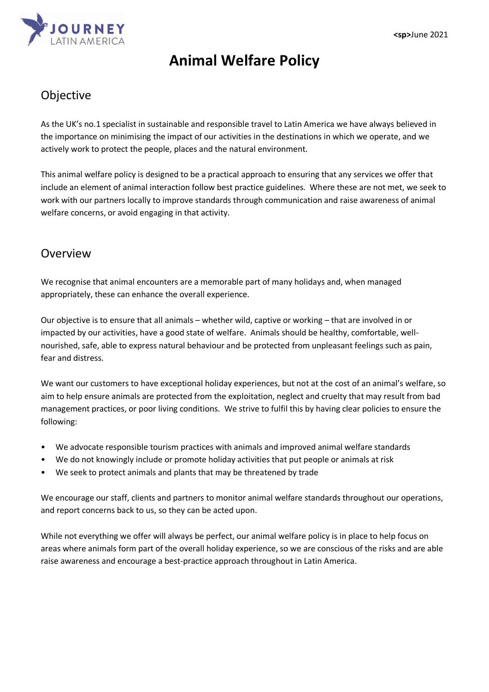

# **Animal Welfare Policy**

## Objective

As the UK's no.1 specialist in sustainable and responsible travel to Latin America we have always believed in the importance on minimising the impact of our activities in the destinations in which we operate, and we actively work to protect the people, places and the natural environment.

This animal welfare policy is designed to be a practical approach to ensuring that any services we offer that include an element of animal interaction follow best practice guidelines. Where these are not met, we seek to work with our partners locally to improve standards through communication and raise awareness of animal welfare concerns, or avoid engaging in that activity.

## Overview

We recognise that animal encounters are a memorable part of many holidays and, when managed appropriately, these can enhance the overall experience.

Our objective is to ensure that all animals – whether wild, captive or working – that are involved in or impacted by our activities, have a good state of welfare. Animals should be healthy, comfortable, wellnourished, safe, able to express natural behaviour and be protected from unpleasant feelings such as pain, fear and distress.

We want our customers to have exceptional holiday experiences, but not at the cost of an animal's welfare, so aim to help ensure animals are protected from the exploitation, neglect and cruelty that may result from bad management practices, or poor living conditions. We strive to fulfil this by having clear policies to ensure the following:

- We advocate responsible tourism practices with animals and improved animal welfare standards
- We do not knowingly include or promote holiday activities that put people or animals at risk
- We seek to protect animals and plants that may be threatened by trade

We encourage our staff, clients and partners to monitor animal welfare standards throughout our operations, and report concerns back to us, so they can be acted upon.

While not everything we offer will always be perfect, our animal welfare policy is in place to help focus on areas where animals form part of the overall holiday experience, so we are conscious of the risks and are able raise awareness and encourage a best-practice approach throughout in Latin America.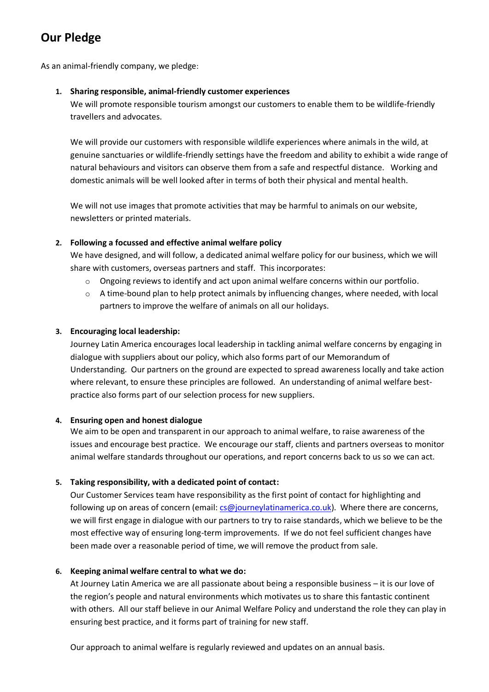# **Our Pledge**

As an animal-friendly company, we pledge:

## **1. Sharing responsible, animal-friendly customer experiences**

We will promote responsible tourism amongst our customers to enable them to be wildlife-friendly travellers and advocates.

We will provide our customers with responsible wildlife experiences where animals in the wild, at genuine sanctuaries or wildlife-friendly settings have the freedom and ability to exhibit a wide range of natural behaviours and visitors can observe them from a safe and respectful distance. Working and domestic animals will be well looked after in terms of both their physical and mental health.

We will not use images that promote activities that may be harmful to animals on our website, newsletters or printed materials.

## **2. Following a focussed and effective animal welfare policy**

We have designed, and will follow, a dedicated animal welfare policy for our business, which we will share with customers, overseas partners and staff. This incorporates:

- $\circ$  Ongoing reviews to identify and act upon animal welfare concerns within our portfolio.
- $\circ$  A time-bound plan to help protect animals by influencing changes, where needed, with local partners to improve the welfare of animals on all our holidays.

## **3. Encouraging local leadership:**

Journey Latin America encourages local leadership in tackling animal welfare concerns by engaging in dialogue with suppliers about our policy, which also forms part of our Memorandum of Understanding. Our partners on the ground are expected to spread awareness locally and take action where relevant, to ensure these principles are followed. An understanding of animal welfare bestpractice also forms part of our selection process for new suppliers.

## **4. Ensuring open and honest dialogue**

We aim to be open and transparent in our approach to animal welfare, to raise awareness of the issues and encourage best practice. We encourage our staff, clients and partners overseas to monitor animal welfare standards throughout our operations, and report concerns back to us so we can act.

## **5. Taking responsibility, with a dedicated point of contact:**

Our Customer Services team have responsibility as the first point of contact for highlighting and following up on areas of concern (email[: cs@journeylatinamerica.co.uk\)](mailto:cs@journeylatinamerica.co.uk). Where there are concerns, we will first engage in dialogue with our partners to try to raise standards, which we believe to be the most effective way of ensuring long-term improvements. If we do not feel sufficient changes have been made over a reasonable period of time, we will remove the product from sale.

## **6. Keeping animal welfare central to what we do:**

At Journey Latin America we are all passionate about being a responsible business – it is our love of the region's people and natural environments which motivates us to share this fantastic continent with others. All our staff believe in our Animal Welfare Policy and understand the role they can play in ensuring best practice, and it forms part of training for new staff.

Our approach to animal welfare is regularly reviewed and updates on an annual basis.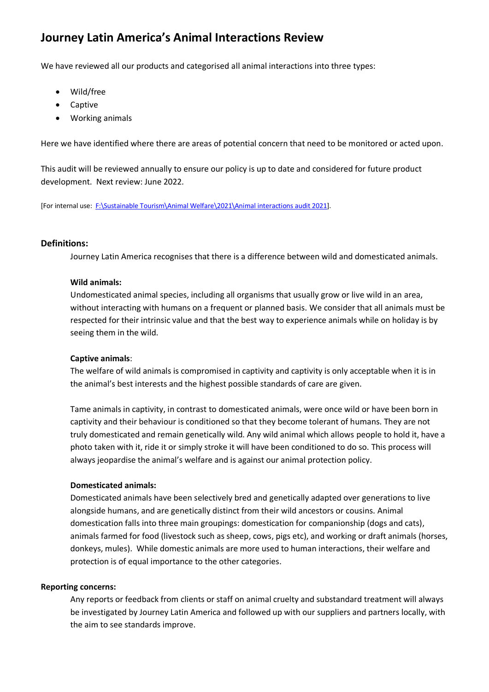## **Journey Latin America's Animal Interactions Review**

We have reviewed all our products and categorised all animal interactions into three types:

- Wild/free
- Captive
- Working animals

Here we have identified where there are areas of potential concern that need to be monitored or acted upon.

This audit will be reviewed annually to ensure our policy is up to date and considered for future product development. Next review: June 2022.

[For internal use: [F:\Sustainable Tourism\Animal Welfare\2021\Animal interactions audit 2021\]](Animal%20interactions%20audit%202021).

#### **Definitions:**

Journey Latin America recognises that there is a difference between wild and domesticated animals.

#### **Wild animals:**

Undomesticated animal species, including all organisms that usually grow or live wild in an area, without interacting with humans on a frequent or planned basis. We consider that all animals must be respected for their intrinsic value and that the best way to experience animals while on holiday is by seeing them in the wild.

#### **Captive animals**:

The welfare of wild animals is compromised in captivity and captivity is only acceptable when it is in the animal's best interests and the highest possible standards of care are given.

Tame animals in captivity, in contrast to domesticated animals, were once wild or have been born in captivity and their behaviour is conditioned so that they become tolerant of humans. They are not truly domesticated and remain genetically wild. Any wild animal which allows people to hold it, have a photo taken with it, ride it or simply stroke it will have been conditioned to do so. This process will always jeopardise the animal's welfare and is against our animal protection policy.

#### **Domesticated animals:**

Domesticated animals have been selectively bred and genetically adapted over generations to live alongside humans, and are genetically distinct from their wild ancestors or cousins. Animal domestication falls into three main groupings: domestication for companionship (dogs and cats), animals farmed for food (livestock such as sheep, cows, pigs etc), and working or draft animals (horses, donkeys, mules). While domestic animals are more used to human interactions, their welfare and protection is of equal importance to the other categories.

#### **Reporting concerns:**

Any reports or feedback from clients or staff on animal cruelty and substandard treatment will always be investigated by Journey Latin America and followed up with our suppliers and partners locally, with the aim to see standards improve.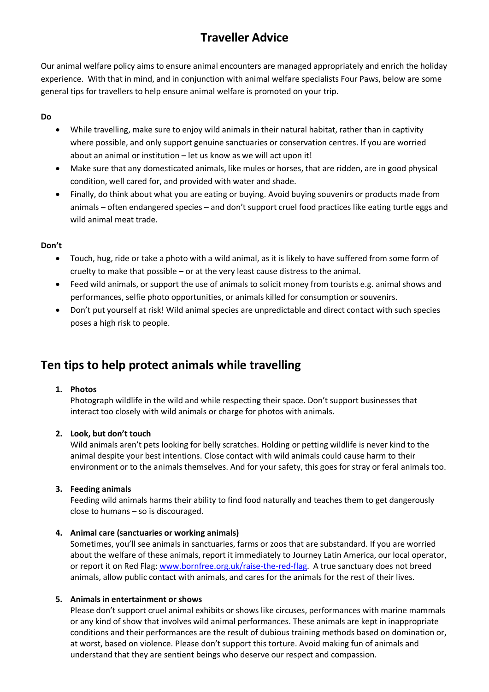# **Traveller Advice**

Our animal welfare policy aims to ensure animal encounters are managed appropriately and enrich the holiday experience. With that in mind, and in conjunction with animal welfare specialists Four Paws, below are some general tips for travellers to help ensure animal welfare is promoted on your trip.

## **Do**

- While travelling, make sure to enjoy wild animals in their natural habitat, rather than in captivity where possible, and only support genuine sanctuaries or conservation centres. If you are worried about an animal or institution – let us know as we will act upon it!
- Make sure that any domesticated animals, like mules or horses, that are ridden, are in good physical condition, well cared for, and provided with water and shade.
- Finally, do think about what you are eating or buying. Avoid buying souvenirs or products made from animals – often endangered species – and don't support cruel food practices like eating turtle eggs and wild animal meat trade.

## **Don't**

- Touch, hug, ride or take a photo with a wild animal, as it is likely to have suffered from some form of cruelty to make that possible – or at the very least cause distress to the animal.
- Feed wild animals, or support the use of animals to solicit money from tourists e.g. animal shows and performances, selfie photo opportunities, or animals killed for consumption or souvenirs.
- Don't put yourself at risk! Wild animal species are unpredictable and direct contact with such species poses a high risk to people.

## **Ten tips to help protect animals while travelling**

## **1. Photos**

Photograph wildlife in the wild and while respecting their space. Don't support businesses that interact too closely with wild animals or charge for photos with animals.

## **2. Look, but don't touch**

Wild animals aren't pets looking for belly scratches. Holding or petting wildlife is never kind to the animal despite your best intentions. Close contact with wild animals could cause harm to their environment or to the animals themselves. And for your safety, this goes for stray or feral animals too.

## **3. Feeding animals**

Feeding wild animals harms their ability to find food naturally and teaches them to get dangerously close to humans – so is discouraged.

## **4. Animal care (sanctuaries or working animals)**

Sometimes, you'll see animals in sanctuaries, farms or zoos that are substandard. If you are worried about the welfare of these animals, report it immediately to Journey Latin America, our local operator, or report it on Red Flag[: www.bornfree.org.uk/raise-the-red-flag.](http://www.bornfree.org.uk/raise-the-red-flag) A true sanctuary does not breed animals, allow public contact with animals, and cares for the animals for the rest of their lives.

## **5. Animals in entertainment or shows**

Please don't support cruel animal exhibits or shows like circuses, performances with marine mammals or any kind of show that involves wild animal performances. These animals are kept in inappropriate conditions and their performances are the result of dubious training methods based on domination or, at worst, based on violence. Please don't support this torture. Avoid making fun of animals and understand that they are sentient beings who deserve our respect and compassion.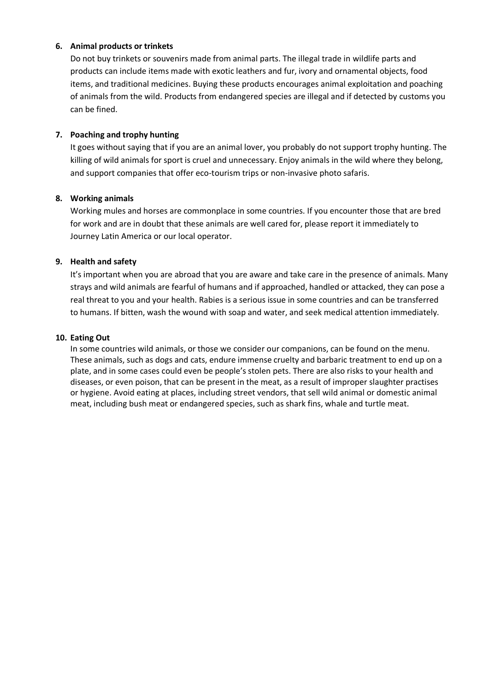#### **6. Animal products or trinkets**

Do not buy trinkets or souvenirs made from animal parts. The illegal trade in wildlife parts and products can include items made with exotic leathers and fur, ivory and ornamental objects, food items, and traditional medicines. Buying these products encourages animal exploitation and poaching of animals from the wild. Products from endangered species are illegal and if detected by customs you can be fined.

#### **7. Poaching and trophy hunting**

It goes without saying that if you are an animal lover, you probably do not support trophy hunting. The killing of wild animals for sport is cruel and unnecessary. Enjoy animals in the wild where they belong, and support companies that offer eco-tourism trips or non-invasive photo safaris.

#### **8. Working animals**

Working mules and horses are commonplace in some countries. If you encounter those that are bred for work and are in doubt that these animals are well cared for, please report it immediately to Journey Latin America or our local operator.

## **9. Health and safety**

It's important when you are abroad that you are aware and take care in the presence of animals. Many strays and wild animals are fearful of humans and if approached, handled or attacked, they can pose a real threat to you and your health. Rabies is a serious issue in some countries and can be transferred to humans. If bitten, wash the wound with soap and water, and seek medical attention immediately.

#### **10. Eating Out**

In some countries wild animals, or those we consider our companions, can be found on the menu. These animals, such as dogs and cats, endure immense cruelty and barbaric treatment to end up on a plate, and in some cases could even be people's stolen pets. There are also risks to your health and diseases, or even poison, that can be present in the meat, as a result of improper slaughter practises or hygiene. Avoid eating at places, including street vendors, that sell wild animal or domestic animal meat, including bush meat or endangered species, such as shark fins, whale and turtle meat.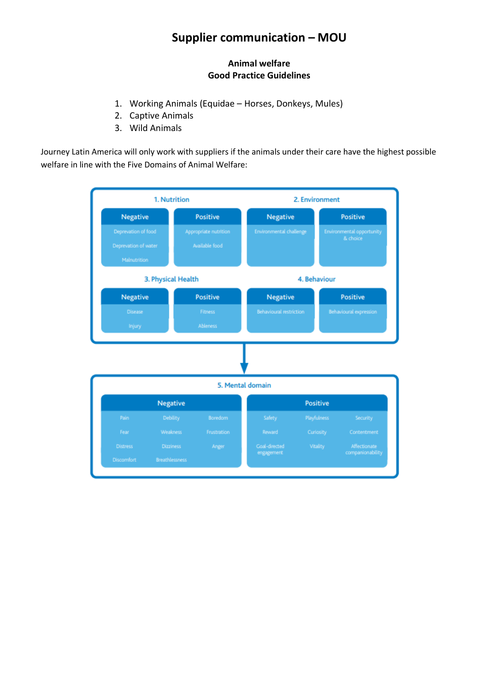## **Supplier communication – MOU**

## **Animal welfare Good Practice Guidelines**

- 1. Working Animals (Equidae Horses, Donkeys, Mules)
- 2. Captive Animals
- 3. Wild Animals

Journey Latin America will only work with suppliers if the animals under their care have the highest possible welfare in line with the Five Domains of Animal Welfare:

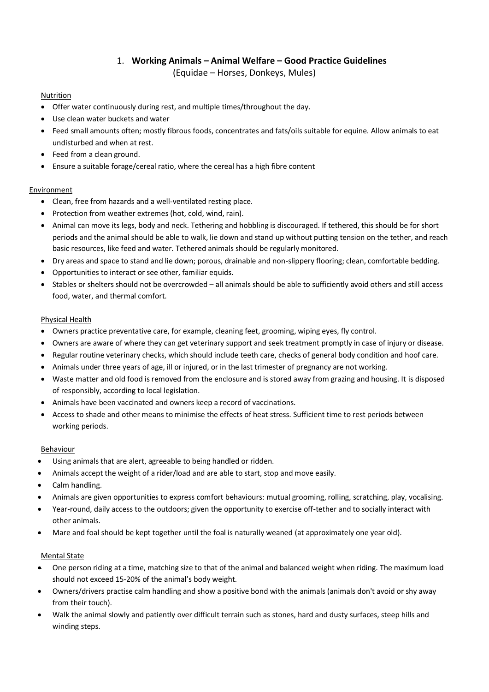## 1. **Working Animals – Animal Welfare – Good Practice Guidelines** (Equidae – Horses, Donkeys, Mules)

#### Nutrition

- Offer water continuously during rest, and multiple times/throughout the day.
- Use clean water buckets and water
- Feed small amounts often; mostly fibrous foods, concentrates and fats/oils suitable for equine. Allow animals to eat undisturbed and when at rest.
- Feed from a clean ground.
- Ensure a suitable forage/cereal ratio, where the cereal has a high fibre content

#### Environment

- Clean, free from hazards and a well-ventilated resting place.
- Protection from weather extremes (hot, cold, wind, rain).
- Animal can move its legs, body and neck. Tethering and hobbling is discouraged. If tethered, this should be for short periods and the animal should be able to walk, lie down and stand up without putting tension on the tether, and reach basic resources, like feed and water. Tethered animals should be regularly monitored.
- Dry areas and space to stand and lie down; porous, drainable and non-slippery flooring; clean, comfortable bedding.
- Opportunities to interact or see other, familiar equids.
- Stables or shelters should not be overcrowded all animals should be able to sufficiently avoid others and still access food, water, and thermal comfort.

#### Physical Health

- Owners practice preventative care, for example, cleaning feet, grooming, wiping eyes, fly control.
- Owners are aware of where they can get veterinary support and seek treatment promptly in case of injury or disease.
- Regular routine veterinary checks, which should include teeth care, checks of general body condition and hoof care.
- Animals under three years of age, ill or injured, or in the last trimester of pregnancy are not working.
- Waste matter and old food is removed from the enclosure and is stored away from grazing and housing. It is disposed of responsibly, according to local legislation.
- Animals have been vaccinated and owners keep a record of vaccinations.
- Access to shade and other means to minimise the effects of heat stress. Sufficient time to rest periods between working periods.

#### Behaviour

- Using animals that are alert, agreeable to being handled or ridden.
- Animals accept the weight of a rider/load and are able to start, stop and move easily.
- Calm handling.
- Animals are given opportunities to express comfort behaviours: mutual grooming, rolling, scratching, play, vocalising.
- Year-round, daily access to the outdoors; given the opportunity to exercise off-tether and to socially interact with other animals.
- Mare and foal should be kept together until the foal is naturally weaned (at approximately one year old).

#### Mental State

- One person riding at a time, matching size to that of the animal and balanced weight when riding. The maximum load should not exceed 15-20% of the animal's body weight.
- Owners/drivers practise calm handling and show a positive bond with the animals (animals don't avoid or shy away from their touch).
- Walk the animal slowly and patiently over difficult terrain such as stones, hard and dusty surfaces, steep hills and winding steps.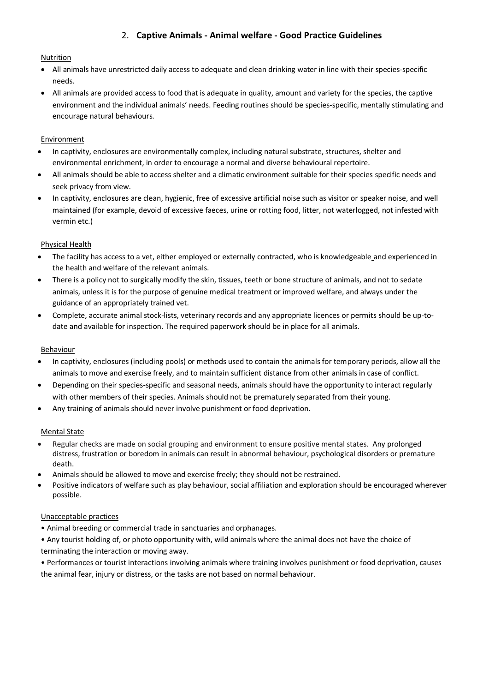## 2. **Captive Animals - Animal welfare - Good Practice Guidelines**

#### Nutrition

- All animals have unrestricted daily access to adequate and clean drinking water in line with their species-specific needs.
- All animals are provided access to food that is adequate in quality, amount and variety for the species, the captive environment and the individual animals' needs. Feeding routines should be species-specific, mentally stimulating and encourage natural behaviours.

#### **Environment**

- In captivity, enclosures are environmentally complex, including natural substrate, structures, shelter and environmental enrichment, in order to encourage a normal and diverse behavioural repertoire.
- All animals should be able to access shelter and a climatic environment suitable for their species specific needs and seek privacy from view.
- In captivity, enclosures are clean, hygienic, free of excessive artificial noise such as visitor or speaker noise, and well maintained (for example, devoid of excessive faeces, urine or rotting food, litter, not waterlogged, not infested with vermin etc.)

#### Physical Health

- The facility has access to a vet, either employed or externally contracted, who is knowledgeable and experienced in the health and welfare of the relevant animals.
- There is a policy not to surgically modify the skin, tissues, teeth or bone structure of animals, and not to sedate animals, unless it is for the purpose of genuine medical treatment or improved welfare, and always under the guidance of an appropriately trained vet.
- Complete, accurate animal stock-lists, veterinary records and any appropriate licences or permits should be up-todate and available for inspection. The required paperwork should be in place for all animals.

#### Behaviour

- In captivity, enclosures (including pools) or methods used to contain the animals for temporary periods, allow all the animals to move and exercise freely, and to maintain sufficient distance from other animals in case of conflict.
- Depending on their species-specific and seasonal needs, animals should have the opportunity to interact regularly with other members of their species. Animals should not be prematurely separated from their young.
- Any training of animals should never involve punishment or food deprivation.

#### Mental State

- Regular checks are made on social grouping and environment to ensure positive mental states. Any prolonged distress, frustration or boredom in animals can result in abnormal behaviour, psychological disorders or premature death.
- Animals should be allowed to move and exercise freely; they should not be restrained.
- Positive indicators of welfare such as play behaviour, social affiliation and exploration should be encouraged wherever possible.

#### Unacceptable practices

- Animal breeding or commercial trade in sanctuaries and orphanages.
- Any tourist holding of, or photo opportunity with, wild animals where the animal does not have the choice of terminating the interaction or moving away.

• Performances or tourist interactions involving animals where training involves punishment or food deprivation, causes the animal fear, injury or distress, or the tasks are not based on normal behaviour.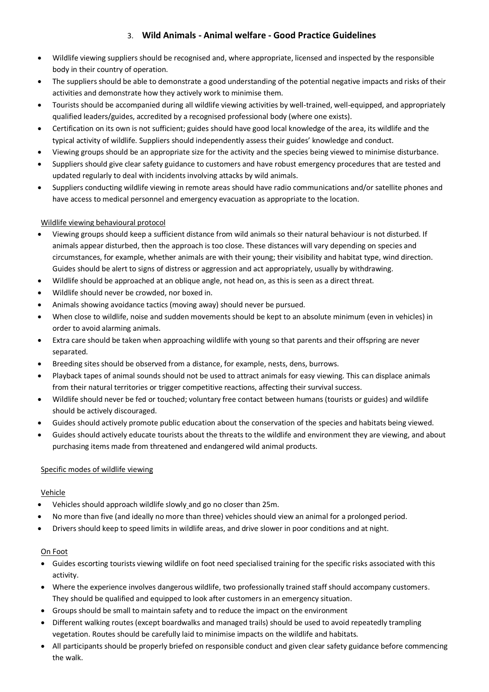## 3. **Wild Animals - Animal welfare - Good Practice Guidelines**

- Wildlife viewing suppliers should be recognised and, where appropriate, licensed and inspected by the responsible body in their country of operation.
- The suppliers should be able to demonstrate a good understanding of the potential negative impacts and risks of their activities and demonstrate how they actively work to minimise them.
- Tourists should be accompanied during all wildlife viewing activities by well-trained, well-equipped, and appropriately qualified leaders/guides, accredited by a recognised professional body (where one exists).
- Certification on its own is not sufficient; guides should have good local knowledge of the area, its wildlife and the typical activity of wildlife. Suppliers should independently assess their guides' knowledge and conduct.
- Viewing groups should be an appropriate size for the activity and the species being viewed to minimise disturbance.
- Suppliers should give clear safety guidance to customers and have robust emergency procedures that are tested and updated regularly to deal with incidents involving attacks by wild animals.
- Suppliers conducting wildlife viewing in remote areas should have radio communications and/or satellite phones and have access to medical personnel and emergency evacuation as appropriate to the location.

#### Wildlife viewing behavioural protocol

- Viewing groups should keep a sufficient distance from wild animals so their natural behaviour is not disturbed. If animals appear disturbed, then the approach is too close. These distances will vary depending on species and circumstances, for example, whether animals are with their young; their visibility and habitat type, wind direction. Guides should be alert to signs of distress or aggression and act appropriately, usually by withdrawing.
- Wildlife should be approached at an oblique angle, not head on, as this is seen as a direct threat.
- Wildlife should never be crowded, nor boxed in.
- Animals showing avoidance tactics (moving away) should never be pursued.
- When close to wildlife, noise and sudden movements should be kept to an absolute minimum (even in vehicles) in order to avoid alarming animals.
- Extra care should be taken when approaching wildlife with young so that parents and their offspring are never separated.
- Breeding sites should be observed from a distance, for example, nests, dens, burrows.
- Playback tapes of animal sounds should not be used to attract animals for easy viewing. This can displace animals from their natural territories or trigger competitive reactions, affecting their survival success.
- Wildlife should never be fed or touched; voluntary free contact between humans (tourists or guides) and wildlife should be actively discouraged.
- Guides should actively promote public education about the conservation of the species and habitats being viewed.
- Guides should actively educate tourists about the threats to the wildlife and environment they are viewing, and about purchasing items made from threatened and endangered wild animal products.

#### Specific modes of wildlife viewing

#### Vehicle

- Vehicles should approach wildlife slowly and go no closer than 25m.
- No more than five (and ideally no more than three) vehicles should view an animal for a prolonged period.
- Drivers should keep to speed limits in wildlife areas, and drive slower in poor conditions and at night.

## On Foot

- Guides escorting tourists viewing wildlife on foot need specialised training for the specific risks associated with this activity.
- Where the experience involves dangerous wildlife, two professionally trained staff should accompany customers. They should be qualified and equipped to look after customers in an emergency situation.
- Groups should be small to maintain safety and to reduce the impact on the environment
- Different walking routes (except boardwalks and managed trails) should be used to avoid repeatedly trampling vegetation. Routes should be carefully laid to minimise impacts on the wildlife and habitats.
- All participants should be properly briefed on responsible conduct and given clear safety guidance before commencing the walk.